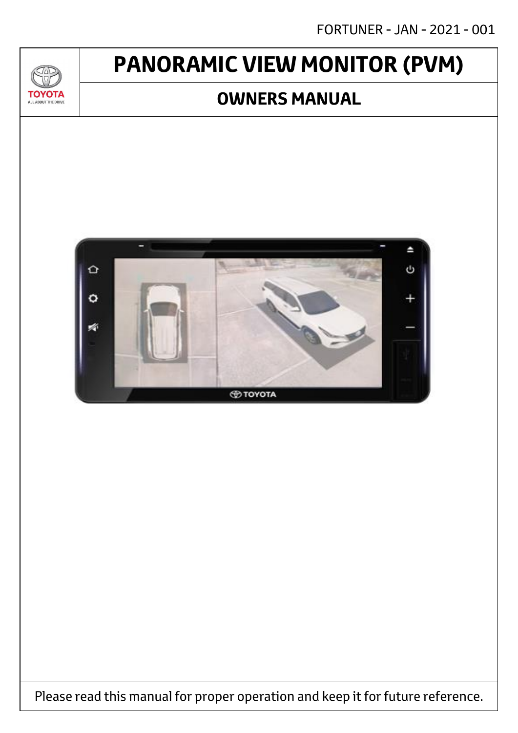# **PANORAMIC VIEW MONITOR (PVM)**

 $\mathcal{A}$ 

**TOYOTA** ALL ABOUT THE DRIVE

## **OWNERS MANUAL**



Please read this manual for proper operation and keep it for future reference.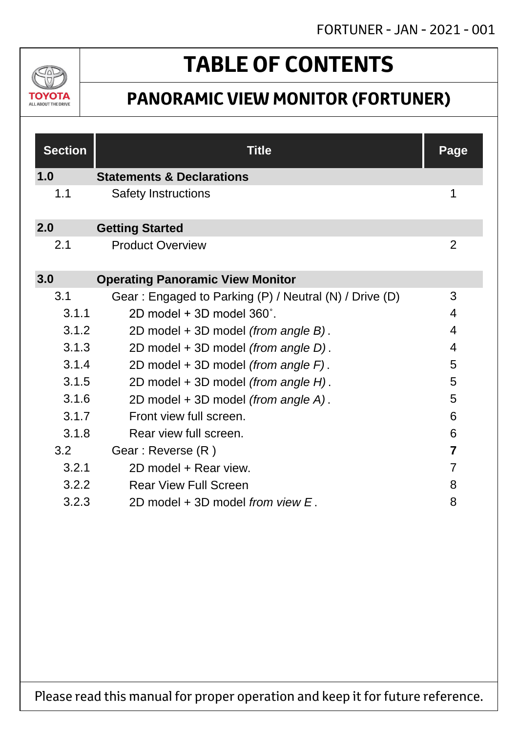

# **TABLE OF CONTENTS**

## **PANORAMIC VIEW MONITOR (FORTUNER)**

| <b>Section</b> | <b>Title</b>                                           | <b>Page</b>    |
|----------------|--------------------------------------------------------|----------------|
| 1.0            | <b>Statements &amp; Declarations</b>                   |                |
| 1.1            | <b>Safety Instructions</b>                             | 1              |
| 2.0            | <b>Getting Started</b>                                 |                |
| 2.1            | <b>Product Overview</b>                                | $\overline{2}$ |
| 3.0            | <b>Operating Panoramic View Monitor</b>                |                |
| 3.1            | Gear: Engaged to Parking (P) / Neutral (N) / Drive (D) | 3              |
| 3.1.1          | 2D model + 3D model 360°.                              | 4              |
| 3.1.2          | 2D model + 3D model (from angle B).                    | 4              |
| 3.1.3          | 2D model + 3D model (from angle D).                    | 4              |
| 3.1.4          | 2D model + 3D model (from angle F).                    | 5              |
| 3.1.5          | 2D model + 3D model (from angle H).                    | 5              |
| 3.1.6          | 2D model + 3D model (from angle A).                    | 5              |
| 3.1.7          | Front view full screen.                                | 6              |
| 3.1.8          | Rear view full screen.                                 | 6              |
| 3.2            | Gear: Reverse (R)                                      | $\overline{7}$ |
| 3.2.1          | 2D model + Rear view.                                  | 7              |
| 3.2.2          | <b>Rear View Full Screen</b>                           | 8              |
| 3.2.3          | 2D model + 3D model from view E.                       | 8              |

Please read this manual for proper operation and keep it for future reference.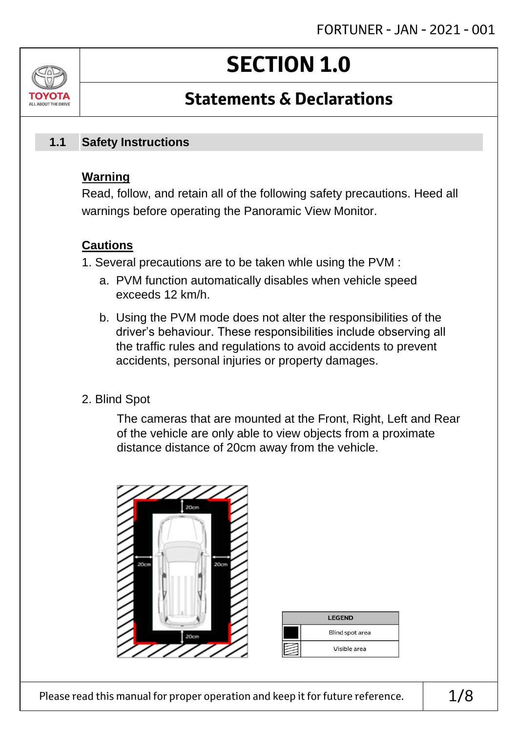# **SECTION 1.0**

## **Statements & Declarations**

#### **Safety Instructions 1.1**

### **Warning**

ALL AROUT THE DRIV

Read, follow, and retain all of the following safety precautions. Heed all warnings before operating the Panoramic View Monitor.

### **Cautions**

- 1. Several precautions are to be taken whle using the PVM :
	- a. PVM function automatically disables when vehicle speed exceeds 12 km/h.
	- b. Using the PVM mode does not alter the responsibilities of the driver's behaviour. These responsibilities include observing all the traffic rules and regulations to avoid accidents to prevent accidents, personal injuries or property damages.
- 2. Blind Spot

The cameras that are mounted at the Front, Right, Left and Rear of the vehicle are only able to view objects from a proximate distance distance of 20cm away from the vehicle.



| <b>LEGEND</b> |                 |  |
|---------------|-----------------|--|
|               | Blind spot area |  |
|               | Visible area    |  |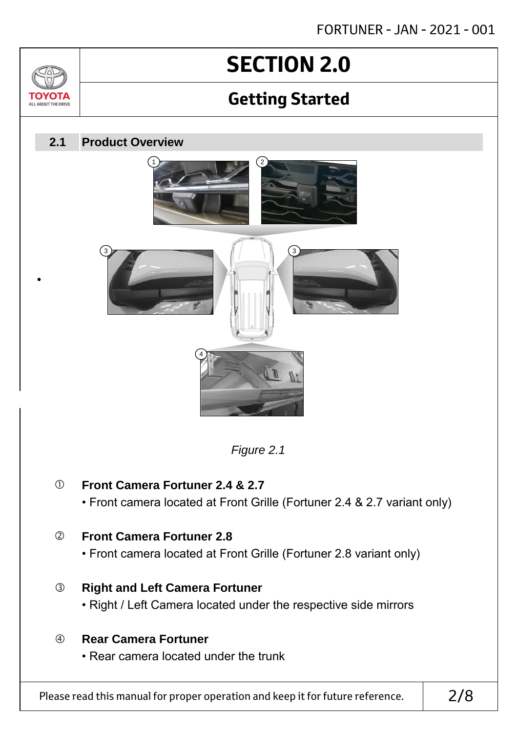# **SECTION 2.0**

## **Getting Started**

#### **Product Overview 2.1**

3

•

TOVOTZ ALL ABOUT THE DRIVE







### **Front Camera Fortuner 2.4 & 2.7**

• Front camera located at Front Grille (Fortuner 2.4 & 2.7 variant only)

### **Front Camera Fortuner 2.8**

• Front camera located at Front Grille (Fortuner 2.8 variant only)

### **Right and Left Camera Fortuner**

• Right / Left Camera located under the respective side mirrors

### **Rear Camera Fortuner**

• Rear camera located under the trunk

Please read this manual for proper operation and keep it for future reference.  $\vert$  2/8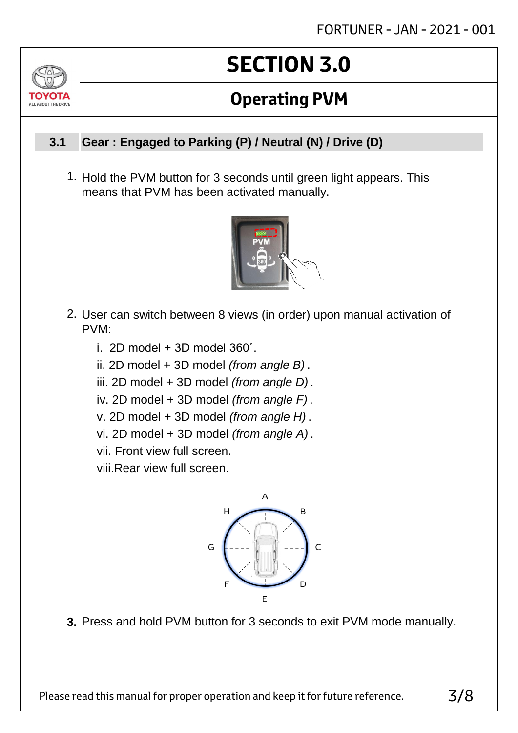# **SECTION 3.0**

## **Operating PVM**

#### **Gear : Engaged to Parking (P) / Neutral (N) / Drive (D) 3.1**

ALL AROUT THE DRIV

1. Hold the PVM button for 3 seconds until green light appears. This means that PVM has been activated manually.



- 2. User can switch between 8 views (in order) upon manual activation of PVM:
	- i. 2D model  $+$  3D model 360 $^{\circ}$ .
	- ii. 2D model + 3D model *(from angle B)* .
	- iii. 2D model + 3D model *(from angle D)* .
	- iv. 2D model + 3D model *(from angle F)* .
	- v. 2D model + 3D model *(from angle H)* .
	- vi. 2D model + 3D model *(from angle A)* .
	- vii. Front view full screen.

viii.Rear view full screen.



**3.** Press and hold PVM button for 3 seconds to exit PVM mode manually.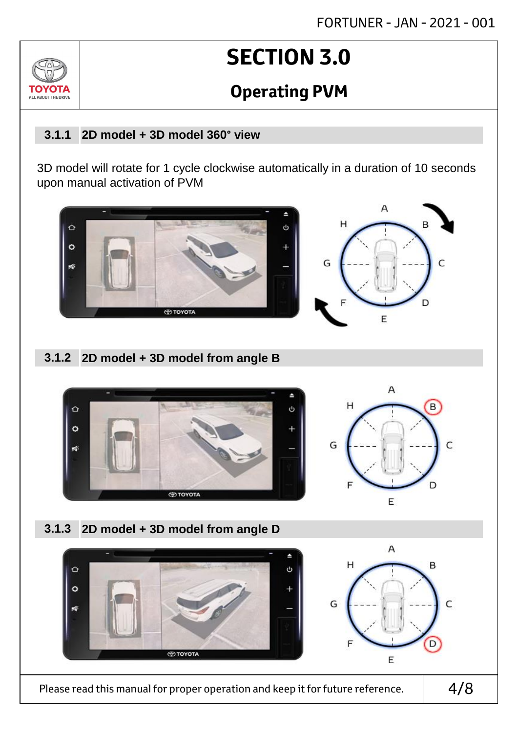# **SECTION 3.0**

## **Operating PVM**

#### **2D model + 3D model 360° view 3.1.1**

ALL AROUT THE D

3D model will rotate for 1 cycle clockwise automatically in a duration of 10 seconds upon manual activation of PVM



### **2D model + 3D model from angle B 3.1.2**



**2D model + 3D model from angle D 3.1.3**



Please read this manual for proper operation and keep it for future reference.  $\vert$  4/8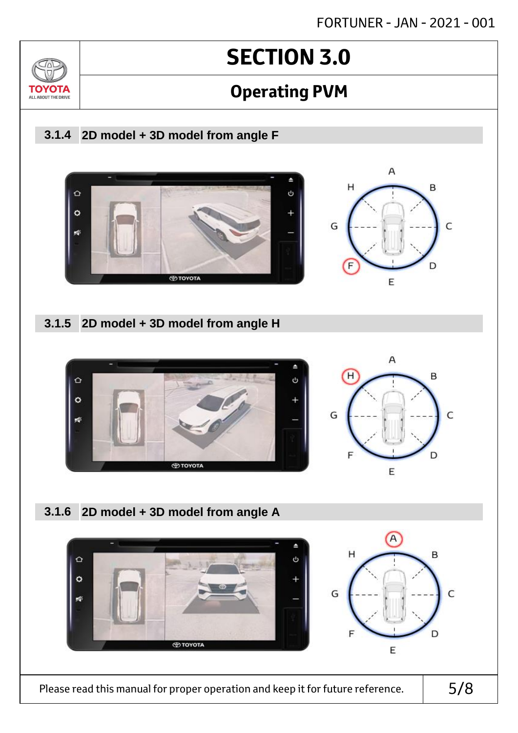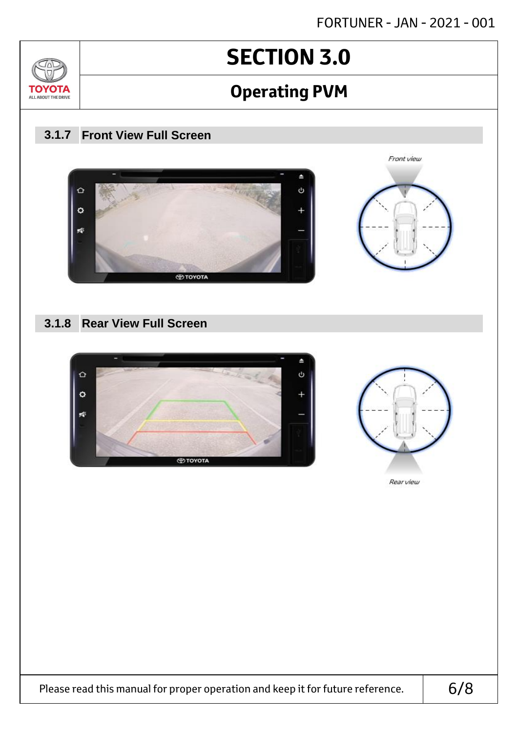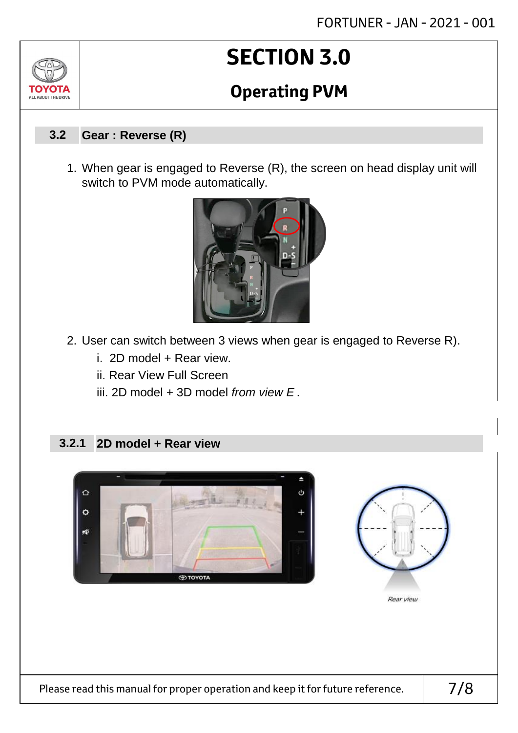# **SECTION 3.0**

## **Operating PVM**

#### **Gear : Reverse (R) 3.2**

1. When gear is engaged to Reverse (R), the screen on head display unit will switch to PVM mode automatically.



- 2. User can switch between 3 views when gear is engaged to Reverse R).
	- i. 2D model + Rear view.
	- ii. Rear View Full Screen
	- iii. 2D model + 3D model *from view E* .

#### **2D model + Rear view 3.2.1**